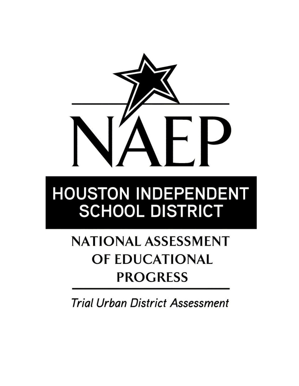

# **HOUSTON INDEPENDENT SCHOOL DISTRICT**

## **NATIONAL ASSESSMENT** OF EDUCATIONAL **PROGRESS**

**Trial Urban District Assessment**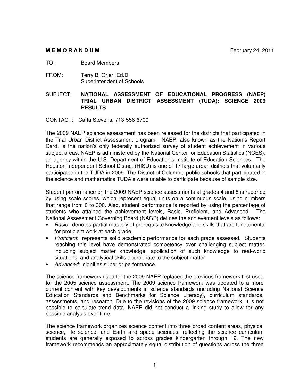#### **M E M O R A N D U M M** February 24, 2011

TO: Board Members

FROM: Terry B. Grier, Ed.D Superintendent of Schools

#### SUBJECT: **NATIONAL ASSESSMENT OF EDUCATIONAL PROGRESS (NAEP) TRIAL URBAN DISTRICT ASSESSMENT (TUDA): SCIENCE 2009 RESULTS**

CONTACT: Carla Stevens, 713-556-6700

The 2009 NAEP science assessment has been released for the districts that participated in the Trial Urban District Assessment program. NAEP, also known as the Nation's Report Card, is the nation's only federally authorized survey of student achievement in various subject areas. NAEP is administered by the National Center for Education Statistics (NCES), an agency within the U.S. Department of Education's Institute of Education Sciences. The Houston Independent School District (HISD) is one of 17 large urban districts that voluntarily participated in the TUDA in 2009. The District of Columbia public schools that participated in the science and mathematics TUDA's were unable to participate because of sample size.

Student performance on the 2009 NAEP science assessments at grades 4 and 8 is reported by using scale scores, which represent equal units on a continuous scale, using numbers that range from 0 to 300. Also, student performance is reported by using the percentage of students who attained the achievement levels, Basic, Proficient, and Advanced. The National Assessment Governing Board (NAGB) defines the achievement levels as follows:

- Basic: denotes partial mastery of prerequisite knowledge and skills that are fundamental for proficient work at each grade.
- Proficient: represents solid academic performance for each grade assessed. Students reaching this level have demonstrated competency over challenging subject matter, including subject matter knowledge, application of such knowledge to real-world situations, and analytical skills appropriate to the subject matter.
- Advanced: signifies superior performance.

The science framework used for the 2009 NAEP replaced the previous framework first used for the 2005 science assessment. The 2009 science framework was updated to a more current content with key developments in science standards (including National Science Education Standards and Benchmarks for Science Literacy), curriculum standards, assessments, and research. Due to the revisions of the 2009 science framework, it is not possible to calculate trend data. NAEP did not conduct a linking study to allow for any possible analysis over time.

The science framework organizes science content into three broad content areas, physical science, life science, and Earth and space sciences, reflecting the science curriculum students are generally exposed to across grades kindergarten through 12. The new framework recommends an approximately equal distribution of questions across the three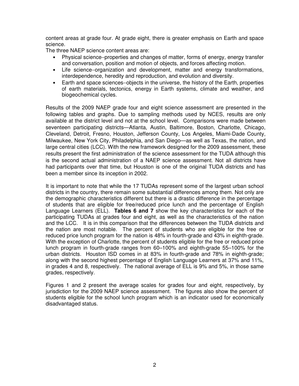content areas at grade four. At grade eight, there is greater emphasis on Earth and space science.

The three NAEP science content areas are:

- Physical science−properties and changes of matter, forms of energy, energy transfer and conversation, position and motion of objects, and forces affecting motion.
- Life science−organization and development, matter and energy transformations, interdependence, heredity and reproduction, and evolution and diversity.
- Earth and space sciences−objects in the universe, the history of the Earth, properties of earth materials, tectonics, energy in Earth systems, climate and weather, and biogeochemical cycles.

Results of the 2009 NAEP grade four and eight science assessment are presented in the following tables and graphs. Due to sampling methods used by NCES, results are only available at the district level and not at the school level. Comparisons were made between seventeen participating districts—Atlanta, Austin, Baltimore, Boston, Charlotte, Chicago, Cleveland, Detroit, Fresno, Houston, Jefferson County, Los Angeles, Miami-Dade County, Milwaukee, New York City, Philadelphia, and San Diego—as well as Texas, the nation, and large central cities (LCC). With the new framework designed for the 2009 assessment, these results present the first administration of the science assessment for the TUDA although this is the second actual administration of a NAEP science assessment. Not all districts have had participants over that time, but Houston is one of the original TUDA districts and has been a member since its inception in 2002.

It is important to note that while the 17 TUDAs represent some of the largest urban school districts in the country, there remain some substantial differences among them. Not only are the demographic characteristics different but there is a drastic difference in the percentage of students that are eligible for free/reduced price lunch and the percentage of English Language Learners (ELL). **Tables 6 and 7** show the key characteristics for each of the participating TUDAs at grades four and eight, as well as the characteristics of the nation and the LCC. It is in this comparison that the differences between the TUDA districts and the nation are most notable. The percent of students who are eligible for the free or reduced price lunch program for the nation is 48% in fourth-grade and 43% in eighth-grade. With the exception of Charlotte, the percent of students eligible for the free or reduced price lunch program in fourth-grade ranges from 60–100% and eighth-grade 55–100% for the urban districts. Houston ISD comes in at 83% in fourth-grade and 78% in eighth-grade; along with the second highest percentage of English Language Learners at 37% and 11%, in grades 4 and 8, respectively. The national average of ELL is 9% and 5%, in those same grades, respectively.

Figures 1 and 2 present the average scales for grades four and eight, respectively, by jurisdiction for the 2009 NAEP science assessment. The figures also show the percent of students eligible for the school lunch program which is an indicator used for economically disadvantaged status.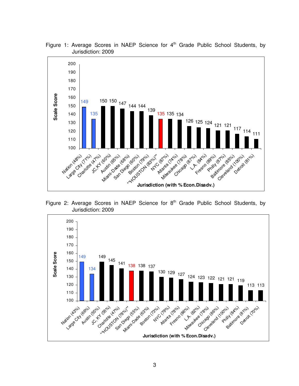

Figure 1: Average Scores in NAEP Science for  $4<sup>th</sup>$  Grade Public School Students, by Jurisdiction: 2009

Figure 2: Average Scores in NAEP Science for  $8<sup>th</sup>$  Grade Public School Students, by Jurisdiction: 2009

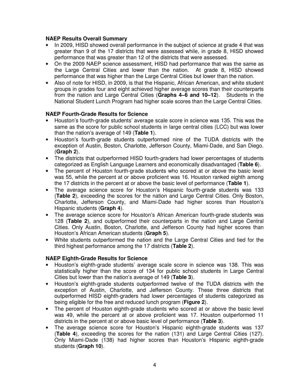#### **NAEP Results Overall Summary**

- In 2009, HISD showed overall performance in the subject of science at grade 4 that was greater than 9 of the 17 districts that were assessed while, in grade 8, HISD showed performance that was greater than 12 of the districts that were assessed.
- On the 2009 NAEP science assessment, HISD had performance that was the same as the Large Central Cities and lower than the nation. At grade 8, HISD showed performance that was higher than the Large Central Cities but lower than the nation.
- Also of note for HISD, in 2009, is that the Hispanic, African American, and white student groups in grades four and eight achieved higher average scores than their counterparts from the nation and Large Central Cities (**Graphs 4–6 and 10–12**). Students in the National Student Lunch Program had higher scale scores than the Large Central Cities.

#### **NAEP Fourth-Grade Results for Science**

- Houston's fourth-grade students' average scale score in science was 135. This was the same as the score for public school students in large central cities (LCC) but was lower than the nation's average of 149 (**Table 1**).
- Houston's fourth-grade students outperformed nine of the TUDA districts with the exception of Austin, Boston, Charlotte, Jefferson County, Miami-Dade, and San Diego. (**Graph 2**).
- The districts that outperformed HISD fourth-graders had lower percentages of students categorized as English Language Learners and economically disadvantaged (**Table 6**).
- The percent of Houston fourth-grade students who scored at or above the basic level was 55, while the percent at or above proficient was 16. Houston ranked eighth among the 17 districts in the percent at or above the basic level of performance (**Table 1**).
- The average science score for Houston's Hispanic fourth-grade students was 133 (**Table 2**), exceeding the scores for the nation and Large Central Cities. Only Boston, Charlotte, Jefferson County, and Miami-Dade had higher scores than Houston's Hispanic students (**Graph 4**).
- The average science score for Houston's African American fourth-grade students was 128 (**Table 2**), and outperformed their counterparts in the nation and Large Central Cities. Only Austin, Boston, Charlotte, and Jefferson County had higher scores than Houston's African American students (**Graph 5**).
- White students outperformed the nation and the Large Central Cities and tied for the third highest performance among the 17 districts (**Table 2**).

#### **NAEP Eighth-Grade Results for Science**

- Houston's eighth-grade students' average scale score in science was 138. This was statistically higher than the score of 134 for public school students in Large Central Cities but lower than the nation's average of 149 (**Table 3**).
- Houston's eighth-grade students outperformed twelve of the TUDA districts with the exception of Austin, Charlotte, and Jefferson County. These three districts that outperformed HISD eighth-graders had lower percentages of students categorized as being eligible for the free and reduced lunch program (**Figure 2**).
- The percent of Houston eighth-grade students who scored at or above the basic level was 49, while the percent at or above proficient was 17. Houston outperformed 11 districts in the percent at or above basic level of performance (**Table 3**).
- The average science score for Houston's Hispanic eighth-grade students was 137 (**Table 4**), exceeding the scores for the nation (131) and Large Central Cities (127). Only Miami-Dade (138) had higher scores than Houston's Hispanic eighth-grade students (**Graph 10**).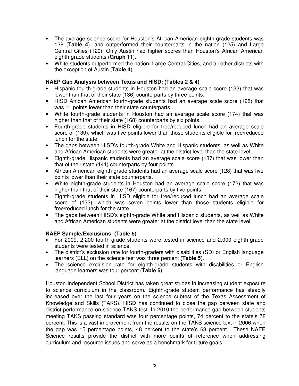- The average science score for Houston's African American eighth-grade students was 128 (**Table 4**), and outperformed their counterparts in the nation (125) and Large Central Cities (120). Only Austin had higher scores than Houston's African American eighth-grade students (**Graph 11**).
- White students outperformed the nation, Large Central Cities, and all other districts with the exception of Austin (**Table 4**).

### **NAEP Gap Analysis between Texas and HISD: (Tables 2 & 4)**

- Hispanic fourth-grade students in Houston had an average scale score (133) that was lower than that of their state (136) counterparts by three points.
- HISD African American fourth-grade students had an average scale score (128) that was 11 points lower than their state counterparts.
- White fourth-grade students in Houston had an average scale score (174) that was higher than that of their state (168) counterparts by six points.
- Fourth-grade students in HISD eligible for free/reduced lunch had an average scale score of (130), which was five points lower than those students eligible for free/reduced lunch for the state.
- The gaps between HISD's fourth-grade White and Hispanic students, as well as White and African American students were greater at the district level than the state level.
- Eighth-grade Hispanic students had an average scale score (137) that was lower than that of their state (141) counterparts by four points.
- African American eighth-grade students had an average scale score (128) that was five points lower than their state counterparts.
- White eighth-grade students in Houston had an average scale score (172) that was higher than that of their state (167) counterparts by five points.
- Eighth-grade students in HISD eligible for free/reduced lunch had an average scale score of (133), which was seven points lower than those students eligible for free/reduced lunch for the state.
- The gaps between HISD's eighth-grade White and Hispanic students, as well as White and African American students were greater at the district level than the state level.

#### **NAEP Sample/Exclusions: (Table 5)**

- For 2009, 2,200 fourth-grade students were tested in science and 2,000 eighth-grade students were tested in science.
- The district's exclusion rate for fourth-graders with disabilities (SD) or English language learners (ELL) on the science test was three percent (**Table 5**).
- The science exclusion rate for eighth-grade students with disabilities or English language learners was four percent (**Table 5**).

Houston Independent School District has taken great strides in increasing student exposure to science curriculum in the classroom. Eighth-grade student performance has steadily increased over the last four years on the science subtest of the Texas Assessment of Knowledge and Skills (TAKS). HISD has continued to close the gap between state and district performance on science TAKS test. In 2010 the performance gap between students meeting TAKS passing standard was four percentage points, 74 percent to the state's 78 percent. This is a vast improvement from the results on the TAKS science text in 2006 when the gap was 15 percentage points, 48 percent to the state's 63 percent. These NAEP Science results provide the district with more points of reference when addressing curriculum and resource issues and serve as a benchmark for future goals.